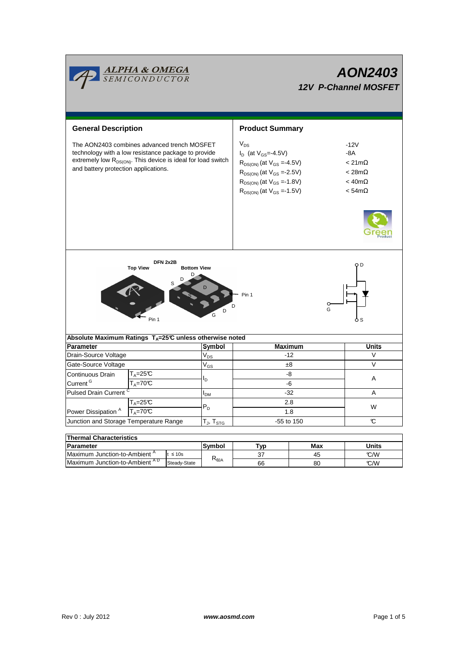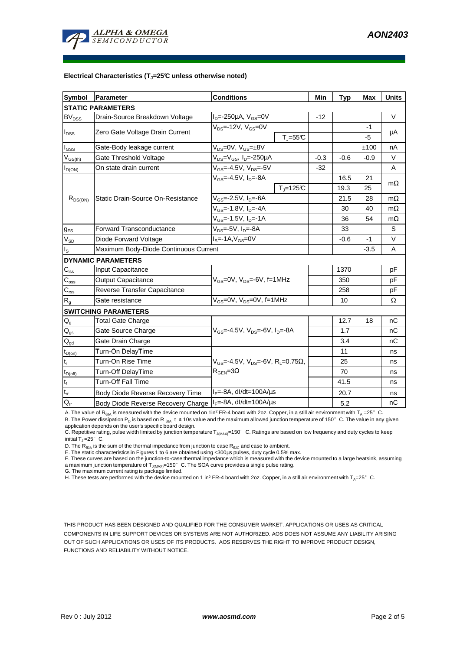

#### **Electrical Characteristics (TJ=25°C unless otherwise noted)**

| <b>Symbol</b>                            | Parameter                             | <b>Conditions</b>                                                 | Min    | <b>Typ</b> | <b>Max</b> | <b>Units</b> |
|------------------------------------------|---------------------------------------|-------------------------------------------------------------------|--------|------------|------------|--------------|
| <b>STATIC PARAMETERS</b>                 |                                       |                                                                   |        |            |            |              |
| <b>BV<sub>DSS</sub></b>                  | Drain-Source Breakdown Voltage        | $I_{D} = -250 \mu A$ , $V_{GS} = 0V$                              | $-12$  |            |            | $\vee$       |
| I <sub>DSS</sub>                         | Zero Gate Voltage Drain Current       | $V_{DS}$ =-12V, $V_{GS}$ =0V                                      |        |            | $-1$       | μA           |
|                                          |                                       | $T_{J} = 55C$                                                     |        |            | $-5$       |              |
| $I_{\rm GSS}$                            | Gate-Body leakage current             | V <sub>DS</sub> =0V, V <sub>GS</sub> =±8V                         |        |            | ±100       | nA           |
| $V_{GS(th)}$                             | Gate Threshold Voltage                | $V_{DS} = V_{GS}$ , $I_D = -250 \mu A$                            | $-0.3$ | $-0.6$     | $-0.9$     | V            |
| $I_{D(ON)}$                              | On state drain current                | $V_{GS} = -4.5V, V_{DS} = -5V$                                    | $-32$  |            |            | A            |
| $R_{DS(ON)}$                             | Static Drain-Source On-Resistance     | $V_{GS} = -4.5V$ , $I_D = -8A$                                    |        | 16.5       | 21         | $m\Omega$    |
|                                          |                                       | $T_i = 125C$                                                      |        | 19.3       | 25         |              |
|                                          |                                       | $V_{GS}$ =-2.5V, $I_{D}$ =-6A                                     |        | 21.5       | 28         | $m\Omega$    |
|                                          |                                       | $V_{GS}$ =-1.8V, I <sub>D</sub> =-4A                              |        | 30         | 40         | $m\Omega$    |
|                                          |                                       | $\overline{V_{GS}}$ =-1.5V, I <sub>D</sub> =-1A                   |        | 36         | 54         | $m\Omega$    |
| $g_{FS}$                                 | Forward Transconductance              | $V_{DS}$ =-5V, $I_D$ =-8A                                         |        | 33         |            | S            |
| $V_{SD}$                                 | Diode Forward Voltage                 | $IS=-1A, VGS=0V$                                                  |        | $-0.6$     | -1         | V            |
| I <sub>s</sub>                           | Maximum Body-Diode Continuous Current |                                                                   |        |            | $-3.5$     | A            |
| <b>DYNAMIC PARAMETERS</b>                |                                       |                                                                   |        |            |            |              |
| $C_{\text{iss}}$                         | <b>Input Capacitance</b>              | $V_{GS}$ =0V, $V_{DS}$ =-6V, f=1MHz                               |        | 1370       |            | pF           |
| $\mathsf{C}_{\text{oss}}$                | Output Capacitance                    |                                                                   |        | 350        |            | pF           |
| $C_{\text{rss}}$                         | Reverse Transfer Capacitance          |                                                                   |        | 258        |            | pF           |
| R <sub>g</sub>                           | Gate resistance                       | $V_{GS}$ =0V, $V_{DS}$ =0V, f=1MHz                                |        | 10         |            | Ω            |
| <b>SWITCHING PARAMETERS</b>              |                                       |                                                                   |        |            |            |              |
| $Q_g$                                    | <b>Total Gate Charge</b>              | V <sub>GS</sub> =-4.5V, V <sub>DS</sub> =-6V, I <sub>D</sub> =-8A |        | 12.7       | 18         | nС           |
| $Q_{qs}$                                 | Gate Source Charge                    |                                                                   |        | 1.7        |            | nC           |
| $\mathsf{Q}_{\text{gd}}$                 | Gate Drain Charge                     |                                                                   |        | 3.4        |            | nС           |
| $\mathfrak{r}_{\mathsf{D}(\mathsf{on})}$ | Turn-On DelayTime                     |                                                                   |        | 11         |            | ns           |
| $t_r$                                    | Turn-On Rise Time                     | $V_{GS}$ =-4.5V, $V_{DS}$ =-6V, R <sub>L</sub> =0.75 $\Omega$ ,   |        | 25         |            | ns           |
| $t_{D(off)}$                             | Turn-Off DelayTime                    | $R_{\text{GEN}} = 3\Omega$                                        |        | 70         |            | ns           |
| $t_f$                                    | <b>Turn-Off Fall Time</b>             |                                                                   |        | 41.5       |            | ns           |
| $\mathbf{t}_\text{rr}$                   | Body Diode Reverse Recovery Time      | $I_F = -8A$ , dl/dt=100A/ $\mu$ s                                 |        | 20.7       |            | ns           |
| $Q_{rr}$                                 | Body Diode Reverse Recovery Charge    | $I_F = -8A$ , dl/dt=100A/us                                       |        | 5.2        |            | nC           |

A. The value of R<sub>θJA</sub> is measured with the device mounted on 1in<sup>2</sup> FR-4 board with 2oz. Copper, in a still air environment with T<sub>A</sub> =25°C.

B. The Power dissipation P<sub>D</sub> is based on R<sub>0JA</sub> t ≤ 10s value and the maximum allowed junction temperature of 150°C. The value in any given application depends on the user's specific board design.

C. Repetitive rating, pulse width limited by junction temperature T<sub>J(MAX)</sub>=150°C. Ratings are based on low frequency and duty cycles to keep initial  $T_J = 25^\circ$  C.

D. The  $R_{\thetaJA}$  is the sum of the thermal impedance from junction to case  $R_{\thetaJC}$  and case to ambient.

E. The static characteristics in Figures 1 to 6 are obtained using <300us pulses, duty cycle 0.5% max.

F. These curves are based on the junction-to-case thermal impedance which is measured with the device mounted to a large heatsink, assuming<br>a maximum junction temperature of T<sub>J(MAX)</sub>=150°C. The SOA curve provides a single

G. The maximum current rating is package limited.

H. These tests are performed with the device mounted on 1 in<sup>2</sup> FR-4 board with 2oz. Copper, in a still air environment with T<sub>A</sub>=25°C.

THIS PRODUCT HAS BEEN DESIGNED AND QUALIFIED FOR THE CONSUMER MARKET. APPLICATIONS OR USES AS CRITICAL COMPONENTS IN LIFE SUPPORT DEVICES OR SYSTEMS ARE NOT AUTHORIZED. AOS DOES NOT ASSUME ANY LIABILITY ARISING OUT OF SUCH APPLICATIONS OR USES OF ITS PRODUCTS. AOS RESERVES THE RIGHT TO IMPROVE PRODUCT DESIGN, FUNCTIONS AND RELIABILITY WITHOUT NOTICE.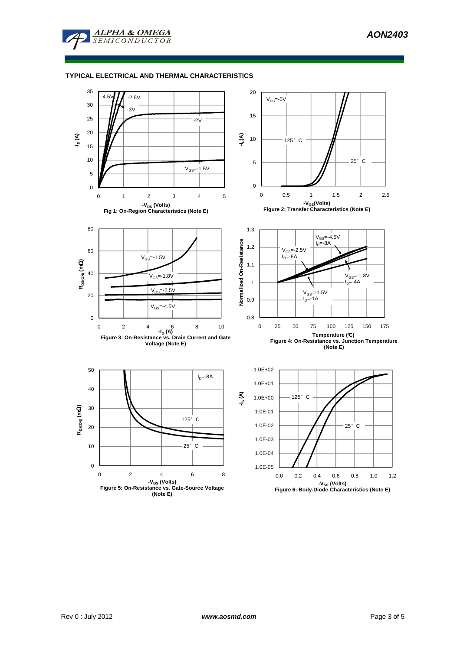

## **TYPICAL ELECTRICAL AND THERMAL CHARACTERISTICS**

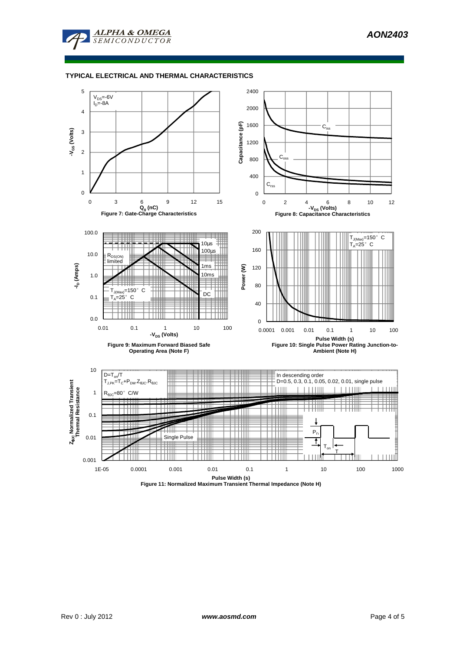

## **TYPICAL ELECTRICAL AND THERMAL CHARACTERISTICS**